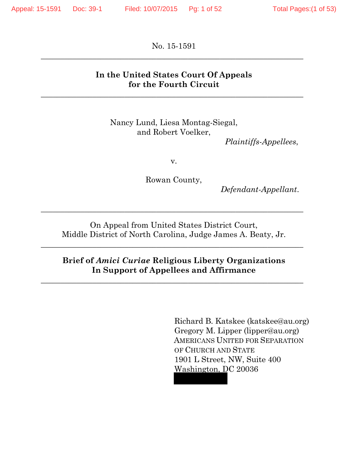No. 15-1591  $\_$  , and the set of the set of the set of the set of the set of the set of the set of the set of the set of the set of the set of the set of the set of the set of the set of the set of the set of the set of the set of th

## **In the United States Court Of Appeals for the Fourth Circuit**

 $\_$  , and the contribution of the contribution of  $\mathcal{L}_\mathcal{A}$  , and the contribution of  $\mathcal{L}_\mathcal{A}$  , and the contribution of  $\mathcal{L}_\mathcal{A}$ 

Nancy Lund, Liesa Montag-Siegal, and Robert Voelker,

*Plaintiffs-Appellees*,

v.

Rowan County,

*Defendant-Appellant*.

On Appeal from United States District Court, Middle District of North Carolina, Judge James A. Beaty, Jr.

\_\_\_\_\_\_\_\_\_\_\_\_\_\_\_\_\_\_\_\_\_\_\_\_\_\_\_\_\_\_\_\_\_\_\_\_\_\_\_\_\_\_\_\_\_\_\_\_\_\_\_\_\_\_\_\_\_\_\_\_\_\_\_\_\_\_

\_\_\_\_\_\_\_\_\_\_\_\_\_\_\_\_\_\_\_\_\_\_\_\_\_\_\_\_\_\_\_\_\_\_\_\_\_\_\_\_\_\_\_\_\_\_\_\_\_\_\_\_\_\_\_\_\_\_\_\_\_\_\_\_\_\_

## **Brief of** *Amici Curiae* **Religious Liberty Organizations In Support of Appellees and Affirmance**

 $\_$  , and the set of the set of the set of the set of the set of the set of the set of the set of the set of the set of the set of the set of the set of the set of the set of the set of the set of the set of the set of th

Richard B. Katskee (katskee@au.org) Gregory M. Lipper (lipper@au.org) AMERICANS UNITED FOR SEPARATION OF CHURCH AND STATE 1901 L Street, NW, Suite 400 Washington, DC 20036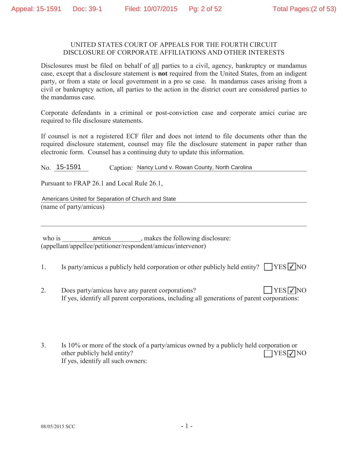#### UNITED STATES COURT OF APPEALS FOR THE FOURTH CIRCUIT DISCLOSURE OF CORPORATE AFFILIATIONS AND OTHER INTERESTS

Disclosures must be filed on behalf of all parties to a civil, agency, bankruptcy or mandamus case, except that a disclosure statement is **not** required from the United States, from an indigent party, or from a state or local government in a pro se case. In mandamus cases arising from a civil or bankruptcy action, all parties to the action in the district court are considered parties to the mandamus case.

Corporate defendants in a criminal or post-conviction case and corporate amici curiae are required to file disclosure statements.

If counsel is not a registered ECF filer and does not intend to file documents other than the required disclosure statement, counsel may file the disclosure statement in paper rather than electronic form. Counsel has a continuing duty to update this information.

Caption: Nancy Lund v. Rowan County, North Carolina  $No. 15-1591$ 

Pursuant to FRAP 26.1 and Local Rule 26.1,

Americans United for Separation of Church and State (name of party/amicus)

amicus, makes the following disclosure: who is (appellant/appellee/petitioner/respondent/amicus/intervenor)

Is party/amicus a publicly held corporation or other publicly held entity?  $\Box$  YES  $\Box$  NO  $1_{\cdot}$ 

- $\overline{2}$ . Does party/amicus have any parent corporations?  $YES\nabla NO$ If yes, identify all parent corporations, including all generations of parent corporations:
- 3. Is 10% or more of the stock of a party/amicus owned by a publicly held corporation or other publicly held entity?  $\Box$ YES $\nabla$ NO If yes, identify all such owners: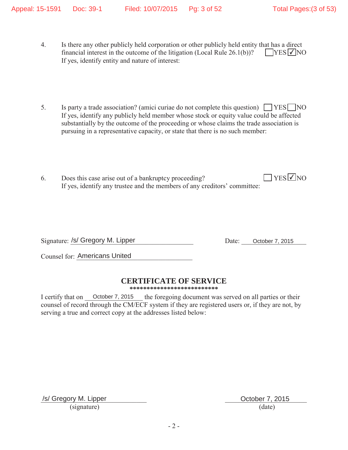- 4. Is there any other publicly held corporation or other publicly held entity that has a direct financial interest in the outcome of the litigation (Local Rule  $26.1(b)$ )? If yes, identify entity and nature of interest:  $YES$   $\overline{V}$  NO
- 5. Is party a trade association? (amici curiae do not complete this question)  $\Box$  YES  $\Box$  NO If yes, identify any publicly held member whose stock or equity value could be affected substantially by the outcome of the proceeding or whose claims the trade association is pursuing in a representative capacity, or state that there is no such member:
- 6. Does this case arise out of a bankruptcy proceeding? If yes, identify any trustee and the members of any creditors' committee:  $\sqrt{\text{YES}}$ NO

Signature: /s/ Gregory M. Lipper Date: October 7, 2015

Counsel for: Americans United

## **CERTIFICATE OF SERVICE**

**\*\*\*\*\*\*\*\*\*\*\*\*\*\*\*\*\*\*\*\*\*\*\*\*\*\***

the foregoing document was served on all parties or their counsel of record through the CM/ECF system if they are registered users or, if they are not, by serving a true and correct copy at the addresses listed below: I certify that on October 7, 2015

/s/ Gregory M. Lipper **October 7, 2015**  $(signature)$  (date)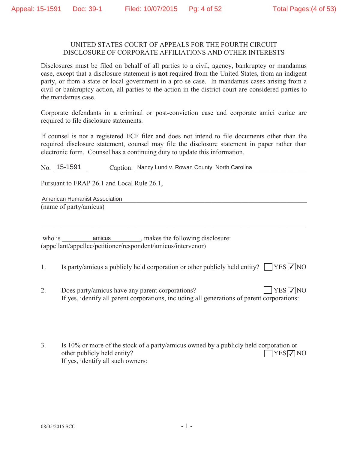#### UNITED STATES COURT OF APPEALS FOR THE FOURTH CIRCUIT DISCLOSURE OF CORPORATE AFFILIATIONS AND OTHER INTERESTS

Disclosures must be filed on behalf of all parties to a civil, agency, bankruptcy or mandamus case, except that a disclosure statement is **not** required from the United States, from an indigent party, or from a state or local government in a pro se case. In mandamus cases arising from a civil or bankruptcy action, all parties to the action in the district court are considered parties to the mandamus case.

Corporate defendants in a criminal or post-conviction case and corporate amici curiae are required to file disclosure statements.

If counsel is not a registered ECF filer and does not intend to file documents other than the required disclosure statement, counsel may file the disclosure statement in paper rather than electronic form. Counsel has a continuing duty to update this information.

Caption: Nancy Lund v. Rowan County, North Carolina  $No. 15-1591$ 

Pursuant to FRAP 26.1 and Local Rule 26.1,

American Humanist Association (name of party/amicus)

amicus, makes the following disclosure: who is (appellant/appellee/petitioner/respondent/amicus/intervenor)

Is party/amicus a publicly held corporation or other publicly held entity?  $\Box$  YES  $\Box$  NO  $1_{\cdot}$ 

- $\overline{2}$ . Does party/amicus have any parent corporations?  $YES\nabla NO$ If yes, identify all parent corporations, including all generations of parent corporations:
- 3. Is 10% or more of the stock of a party/amicus owned by a publicly held corporation or other publicly held entity?  $\Box$ YES $\nabla$ NO If yes, identify all such owners: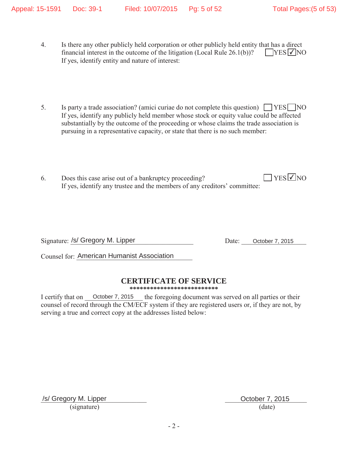- 4. Is there any other publicly held corporation or other publicly held entity that has a direct financial interest in the outcome of the litigation (Local Rule  $26.1(b)$ )? If yes, identify entity and nature of interest:  $YES$   $\overline{V}$  NO
- 5. Is party a trade association? (amici curiae do not complete this question)  $\Box$  YES  $\Box$  NO If yes, identify any publicly held member whose stock or equity value could be affected substantially by the outcome of the proceeding or whose claims the trade association is pursuing in a representative capacity, or state that there is no such member:
- 6. Does this case arise out of a bankruptcy proceeding? If yes, identify any trustee and the members of any creditors' committee:  $T$  YES  $\sqrt{2}$  NO

Signature: /s/ Gregory M. Lipper Date: October 7, 2015

Counsel for: American Humanist Association

## **CERTIFICATE OF SERVICE**

**\*\*\*\*\*\*\*\*\*\*\*\*\*\*\*\*\*\*\*\*\*\*\*\*\*\***

the foregoing document was served on all parties or their counsel of record through the CM/ECF system if they are registered users or, if they are not, by serving a true and correct copy at the addresses listed below: I certify that on October 7, 2015

/s/ Gregory M. Lipper **October 7, 2015**  $(signature)$  (date)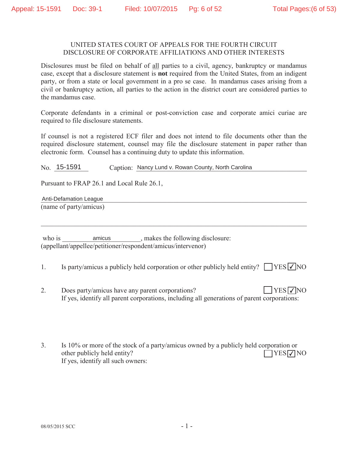#### UNITED STATES COURT OF APPEALS FOR THE FOURTH CIRCUIT DISCLOSURE OF CORPORATE AFFILIATIONS AND OTHER INTERESTS

Disclosures must be filed on behalf of all parties to a civil, agency, bankruptcy or mandamus case, except that a disclosure statement is **not** required from the United States, from an indigent party, or from a state or local government in a pro se case. In mandamus cases arising from a civil or bankruptcy action, all parties to the action in the district court are considered parties to the mandamus case.

Corporate defendants in a criminal or post-conviction case and corporate amici curiae are required to file disclosure statements.

If counsel is not a registered ECF filer and does not intend to file documents other than the required disclosure statement, counsel may file the disclosure statement in paper rather than electronic form. Counsel has a continuing duty to update this information.

Caption: Nancy Lund v. Rowan County, North Carolina  $No. 15-1591$ 

Pursuant to FRAP 26.1 and Local Rule 26.1.

Anti-Defamation League (name of party/amicus)

amicus, makes the following disclosure: who is (appellant/appellee/petitioner/respondent/amicus/intervenor)

Is party/amicus a publicly held corporation or other publicly held entity?  $\Box$  YES  $\Box$  NO 1.

- $\overline{2}$ . Does party/amicus have any parent corporations?  $YES\nabla NO$ If yes, identify all parent corporations, including all generations of parent corporations:
- 3. Is 10% or more of the stock of a party/amicus owned by a publicly held corporation or other publicly held entity?  $\Box$ YES $\nabla$ NO If yes, identify all such owners: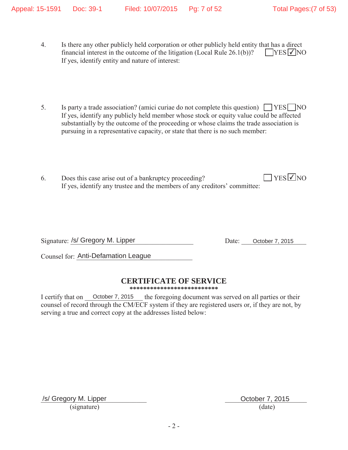- 4. Is there any other publicly held corporation or other publicly held entity that has a direct financial interest in the outcome of the litigation (Local Rule  $26.1(b)$ )? If yes, identify entity and nature of interest:  $YES$   $\overline{V}$  NO
- 5. Is party a trade association? (amici curiae do not complete this question)  $\Box$  YES  $\Box$  NO If yes, identify any publicly held member whose stock or equity value could be affected substantially by the outcome of the proceeding or whose claims the trade association is pursuing in a representative capacity, or state that there is no such member:
- 6. Does this case arise out of a bankruptcy proceeding? If yes, identify any trustee and the members of any creditors' committee:  $\sqrt{\text{YES}}$ NO

Signature: /s/ Gregory M. Lipper Date: October 7, 2015

Counsel for: Anti-Defamation League

## **CERTIFICATE OF SERVICE**

**\*\*\*\*\*\*\*\*\*\*\*\*\*\*\*\*\*\*\*\*\*\*\*\*\*\***

the foregoing document was served on all parties or their counsel of record through the CM/ECF system if they are registered users or, if they are not, by serving a true and correct copy at the addresses listed below: I certify that on October 7, 2015

/s/ Gregory M. Lipper **October 7, 2015**  $(signature)$  (date)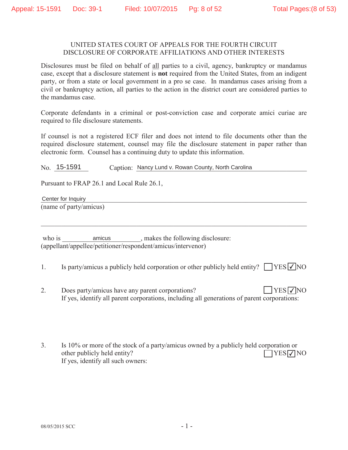#### UNITED STATES COURT OF APPEALS FOR THE FOURTH CIRCUIT DISCLOSURE OF CORPORATE AFFILIATIONS AND OTHER INTERESTS

Disclosures must be filed on behalf of all parties to a civil, agency, bankruptcy or mandamus case, except that a disclosure statement is **not** required from the United States, from an indigent party, or from a state or local government in a pro se case. In mandamus cases arising from a civil or bankruptcy action, all parties to the action in the district court are considered parties to the mandamus case.

Corporate defendants in a criminal or post-conviction case and corporate amici curiae are required to file disclosure statements.

If counsel is not a registered ECF filer and does not intend to file documents other than the required disclosure statement, counsel may file the disclosure statement in paper rather than electronic form. Counsel has a continuing duty to update this information.

Caption: Nancy Lund v. Rowan County, North Carolina  $No. 15-1591$ 

Pursuant to FRAP 26.1 and Local Rule 26.1,

Center for Inquiry (name of party/amicus)

amicus \_\_\_\_\_\_\_, makes the following disclosure: who is (appellant/appellee/petitioner/respondent/amicus/intervenor)

- Is party/amicus a publicly held corporation or other publicly held entity?  $\Box$  YES  $\Box$  NO 1.
- $\overline{2}$ . Does party/amicus have any parent corporations?  $YES\nabla NO$ If yes, identify all parent corporations, including all generations of parent corporations:
- 3. Is 10% or more of the stock of a party/amicus owned by a publicly held corporation or other publicly held entity?  $\Box$ YES $\nabla$ NO If yes, identify all such owners: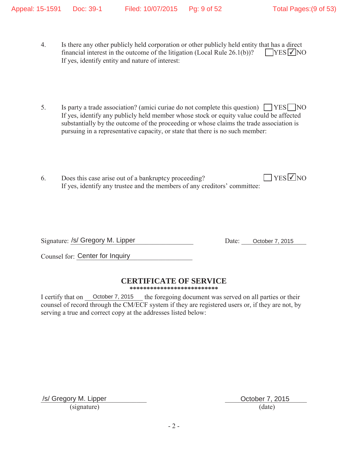- 4. Is there any other publicly held corporation or other publicly held entity that has a direct financial interest in the outcome of the litigation (Local Rule  $26.1(b)$ )? If yes, identify entity and nature of interest:  $YES$   $\overline{V}$  NO
- 5. Is party a trade association? (amici curiae do not complete this question)  $\Box$  YES  $\Box$  NO If yes, identify any publicly held member whose stock or equity value could be affected substantially by the outcome of the proceeding or whose claims the trade association is pursuing in a representative capacity, or state that there is no such member:
- 6. Does this case arise out of a bankruptcy proceeding? If yes, identify any trustee and the members of any creditors' committee:  $YES$  VNO

Signature: /s/ Gregory M. Lipper Date: October 7, 2015

Counsel for: Center for Inquiry

## **CERTIFICATE OF SERVICE**

**\*\*\*\*\*\*\*\*\*\*\*\*\*\*\*\*\*\*\*\*\*\*\*\*\*\***

the foregoing document was served on all parties or their counsel of record through the CM/ECF system if they are registered users or, if they are not, by serving a true and correct copy at the addresses listed below: I certify that on October 7, 2015

/s/ Gregory M. Lipper **October 7, 2015**  $(signature)$  (date)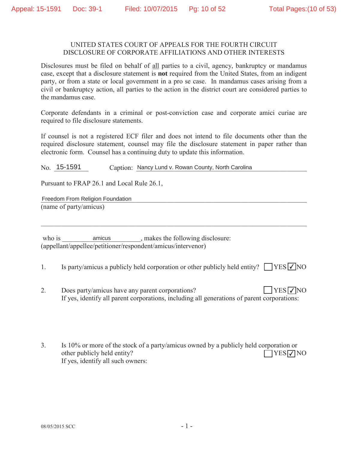#### UNITED STATES COURT OF APPEALS FOR THE FOURTH CIRCUIT DISCLOSURE OF CORPORATE AFFILIATIONS AND OTHER INTERESTS

Disclosures must be filed on behalf of all parties to a civil, agency, bankruptcy or mandamus case, except that a disclosure statement is **not** required from the United States, from an indigent party, or from a state or local government in a pro se case. In mandamus cases arising from a civil or bankruptcy action, all parties to the action in the district court are considered parties to the mandamus case.

Corporate defendants in a criminal or post-conviction case and corporate amici curiae are required to file disclosure statements.

If counsel is not a registered ECF filer and does not intend to file documents other than the required disclosure statement, counsel may file the disclosure statement in paper rather than electronic form. Counsel has a continuing duty to update this information.

Caption: Nancy Lund v. Rowan County, North Carolina  $No. 15-1591$ 

Pursuant to FRAP 26.1 and Local Rule 26.1,

Freedom From Religion Foundation (name of party/amicus)

amicus, makes the following disclosure: who is (appellant/appellee/petitioner/respondent/amicus/intervenor)

Is party/amicus a publicly held corporation or other publicly held entity?  $\Box$  YES  $\Box$  NO 1.

- $\overline{2}$ . Does party/amicus have any parent corporations?  $YES\nabla NO$ If yes, identify all parent corporations, including all generations of parent corporations:
- 3. Is 10% or more of the stock of a party/amicus owned by a publicly held corporation or other publicly held entity?  $\Box$ YES $\nabla$ NO If yes, identify all such owners: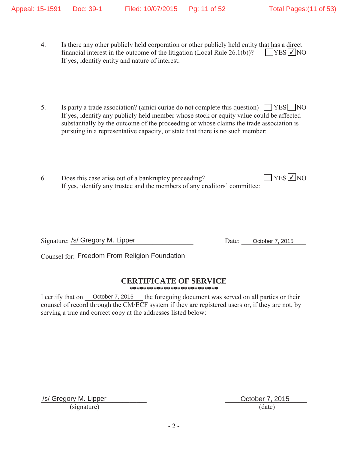- 4. Is there any other publicly held corporation or other publicly held entity that has a direct financial interest in the outcome of the litigation (Local Rule  $26.1(b)$ )? If yes, identify entity and nature of interest:  $YES$   $\overline{V}$  NO
- 5. Is party a trade association? (amici curiae do not complete this question)  $\Box$  YES  $\Box$  NO If yes, identify any publicly held member whose stock or equity value could be affected substantially by the outcome of the proceeding or whose claims the trade association is pursuing in a representative capacity, or state that there is no such member:
- 6. Does this case arise out of a bankruptcy proceeding? If yes, identify any trustee and the members of any creditors' committee:  $\Box$  YES  $\Box$  NO

Signature: /s/ Gregory M. Lipper Date: October 7, 2015

Counsel for: Freedom From Religion Foundation

## **CERTIFICATE OF SERVICE**

**\*\*\*\*\*\*\*\*\*\*\*\*\*\*\*\*\*\*\*\*\*\*\*\*\*\***

the foregoing document was served on all parties or their counsel of record through the CM/ECF system if they are registered users or, if they are not, by serving a true and correct copy at the addresses listed below: I certify that on October 7, 2015

/s/ Gregory M. Lipper **October 7, 2015**  $(signature)$  (date)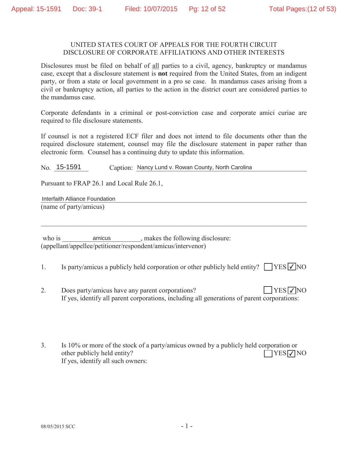#### UNITED STATES COURT OF APPEALS FOR THE FOURTH CIRCUIT DISCLOSURE OF CORPORATE AFFILIATIONS AND OTHER INTERESTS

Disclosures must be filed on behalf of all parties to a civil, agency, bankruptcy or mandamus case, except that a disclosure statement is **not** required from the United States, from an indigent party, or from a state or local government in a pro se case. In mandamus cases arising from a civil or bankruptcy action, all parties to the action in the district court are considered parties to the mandamus case.

Corporate defendants in a criminal or post-conviction case and corporate amici curiae are required to file disclosure statements.

If counsel is not a registered ECF filer and does not intend to file documents other than the required disclosure statement, counsel may file the disclosure statement in paper rather than electronic form. Counsel has a continuing duty to update this information.

Caption: Nancy Lund v. Rowan County, North Carolina  $No. 15-1591$ 

Pursuant to FRAP 26.1 and Local Rule 26.1,

Interfaith Alliance Foundation (name of party/amicus)

amicus, makes the following disclosure: who is (appellant/appellee/petitioner/respondent/amicus/intervenor)

Is party/amicus a publicly held corporation or other publicly held entity?  $\Box$  YES  $\Box$  NO 1.

- $\overline{2}$ . Does party/amicus have any parent corporations?  $YES\nabla NO$ If yes, identify all parent corporations, including all generations of parent corporations:
- 3. Is 10% or more of the stock of a party/amicus owned by a publicly held corporation or other publicly held entity?  $\Box$ YES $\nabla$ NO If yes, identify all such owners: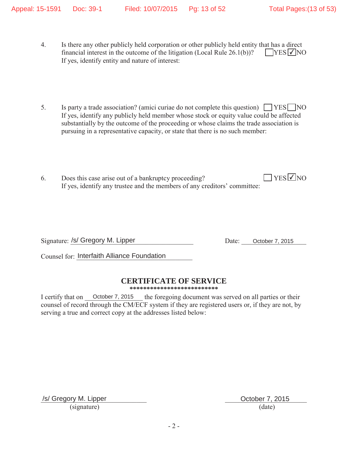- 4. Is there any other publicly held corporation or other publicly held entity that has a direct financial interest in the outcome of the litigation (Local Rule  $26.1(b)$ )? If yes, identify entity and nature of interest:  $YES$   $\overline{V}$  NO
- 5. Is party a trade association? (amici curiae do not complete this question)  $\Box$  YES  $\Box$  NO If yes, identify any publicly held member whose stock or equity value could be affected substantially by the outcome of the proceeding or whose claims the trade association is pursuing in a representative capacity, or state that there is no such member:
- 6. Does this case arise out of a bankruptcy proceeding? If yes, identify any trustee and the members of any creditors' committee:  $\sqrt{\text{YES}}$ NO

Signature: /s/ Gregory M. Lipper Date: October 7, 2015

Counsel for: Interfaith Alliance Foundation

## **CERTIFICATE OF SERVICE**

**\*\*\*\*\*\*\*\*\*\*\*\*\*\*\*\*\*\*\*\*\*\*\*\*\*\***

the foregoing document was served on all parties or their counsel of record through the CM/ECF system if they are registered users or, if they are not, by serving a true and correct copy at the addresses listed below: I certify that on October 7, 2015

/s/ Gregory M. Lipper **October 7, 2015**  $(signature)$  (date)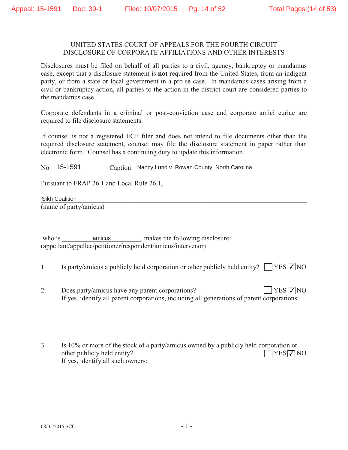#### UNITED STATES COURT OF APPEALS FOR THE FOURTH CIRCUIT DISCLOSURE OF CORPORATE AFFILIATIONS AND OTHER INTERESTS

Disclosures must be filed on behalf of all parties to a civil, agency, bankruptcy or mandamus case, except that a disclosure statement is **not** required from the United States, from an indigent party, or from a state or local government in a pro se case. In mandamus cases arising from a civil or bankruptcy action, all parties to the action in the district court are considered parties to the mandamus case.

Corporate defendants in a criminal or post-conviction case and corporate amici curiae are required to file disclosure statements.

If counsel is not a registered ECF filer and does not intend to file documents other than the required disclosure statement, counsel may file the disclosure statement in paper rather than electronic form. Counsel has a continuing duty to update this information.

Caption: Nancy Lund v. Rowan County, North Carolina  $No. 15-1591$ 

Pursuant to FRAP 26.1 and Local Rule 26.1,

**Sikh Coalition** (name of party/amicus)

amicus, makes the following disclosure: who is (appellant/appellee/petitioner/respondent/amicus/intervenor)

- Is party/amicus a publicly held corporation or other publicly held entity?  $\Box$  YES  $\Box$  NO 1.
- $\overline{2}$ . Does party/amicus have any parent corporations?  $YES\nabla NO$ If yes, identify all parent corporations, including all generations of parent corporations:
- 3. Is 10% or more of the stock of a party/amicus owned by a publicly held corporation or other publicly held entity?  $\Box$ YES $\nabla$ NO If yes, identify all such owners: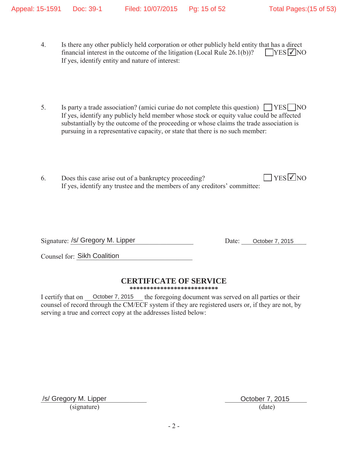- 4. Is there any other publicly held corporation or other publicly held entity that has a direct financial interest in the outcome of the litigation (Local Rule  $26.1(b)$ )? If yes, identify entity and nature of interest:  $YES$   $\overline{V}$  NO
- 5. Is party a trade association? (amici curiae do not complete this question)  $\Box$  YES  $\Box$  NO If yes, identify any publicly held member whose stock or equity value could be affected substantially by the outcome of the proceeding or whose claims the trade association is pursuing in a representative capacity, or state that there is no such member:
- 6. Does this case arise out of a bankruptcy proceeding? If yes, identify any trustee and the members of any creditors' committee:  $\sqrt{\text{YES}}$ NO

Signature: /s/ Gregory M. Lipper Date: October 7, 2015

Counsel for: Sikh Coalition

## **CERTIFICATE OF SERVICE**

**\*\*\*\*\*\*\*\*\*\*\*\*\*\*\*\*\*\*\*\*\*\*\*\*\*\***

the foregoing document was served on all parties or their counsel of record through the CM/ECF system if they are registered users or, if they are not, by serving a true and correct copy at the addresses listed below: I certify that on October 7, 2015

/s/ Gregory M. Lipper **October 7, 2015**  $(signature)$  (date)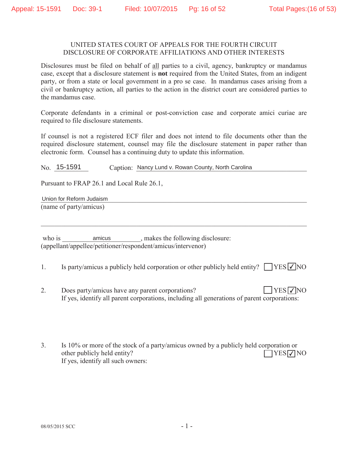#### UNITED STATES COURT OF APPEALS FOR THE FOURTH CIRCUIT DISCLOSURE OF CORPORATE AFFILIATIONS AND OTHER INTERESTS

Disclosures must be filed on behalf of all parties to a civil, agency, bankruptcy or mandamus case, except that a disclosure statement is **not** required from the United States, from an indigent party, or from a state or local government in a pro se case. In mandamus cases arising from a civil or bankruptcy action, all parties to the action in the district court are considered parties to the mandamus case.

Corporate defendants in a criminal or post-conviction case and corporate amici curiae are required to file disclosure statements.

If counsel is not a registered ECF filer and does not intend to file documents other than the required disclosure statement, counsel may file the disclosure statement in paper rather than electronic form. Counsel has a continuing duty to update this information.

Caption: Nancy Lund v. Rowan County, North Carolina  $No. 15-1591$ 

Pursuant to FRAP 26.1 and Local Rule 26.1,

Union for Reform Judaism (name of party/amicus)

amicus, makes the following disclosure: who is (appellant/appellee/petitioner/respondent/amicus/intervenor)

Is party/amicus a publicly held corporation or other publicly held entity?  $\Box$  YES  $\Box$  NO 1.

- $\overline{2}$ . Does party/amicus have any parent corporations?  $YES\nabla NO$ If yes, identify all parent corporations, including all generations of parent corporations:
- 3. Is 10% or more of the stock of a party/amicus owned by a publicly held corporation or other publicly held entity?  $\Box$ YES $\nabla$ NO If yes, identify all such owners: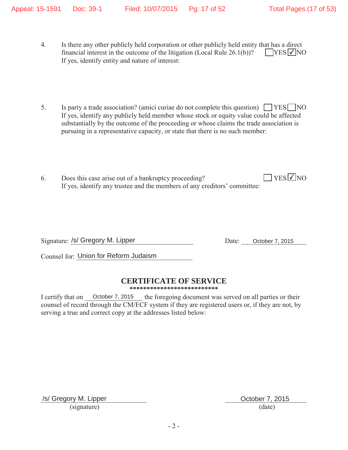- 4. Is there any other publicly held corporation or other publicly held entity that has a direct financial interest in the outcome of the litigation (Local Rule  $26.1(b)$ )? If yes, identify entity and nature of interest:  $YES$   $\overline{V}$  NO
- 5. Is party a trade association? (amici curiae do not complete this question)  $\Box$  YES  $\Box$  NO If yes, identify any publicly held member whose stock or equity value could be affected substantially by the outcome of the proceeding or whose claims the trade association is pursuing in a representative capacity, or state that there is no such member:
- 6. Does this case arise out of a bankruptcy proceeding? If yes, identify any trustee and the members of any creditors' committee:  $\Box$  YES  $\Box$  NO

Signature: /s/ Gregory M. Lipper Date: October 7, 2015

Counsel for: Union for Reform Judaism

## **CERTIFICATE OF SERVICE**

**\*\*\*\*\*\*\*\*\*\*\*\*\*\*\*\*\*\*\*\*\*\*\*\*\*\***

the foregoing document was served on all parties or their counsel of record through the CM/ECF system if they are registered users or, if they are not, by serving a true and correct copy at the addresses listed below: I certify that on October 7, 2015

/s/ Gregory M. Lipper **October 7, 2015**  $(signature)$  (date)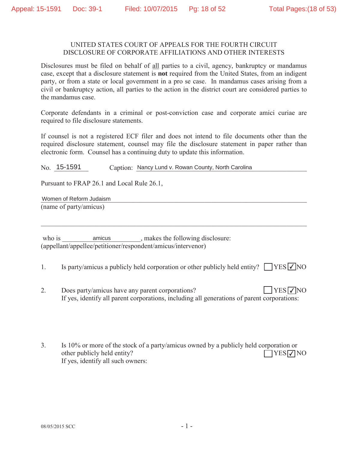#### UNITED STATES COURT OF APPEALS FOR THE FOURTH CIRCUIT DISCLOSURE OF CORPORATE AFFILIATIONS AND OTHER INTERESTS

Disclosures must be filed on behalf of all parties to a civil, agency, bankruptcy or mandamus case, except that a disclosure statement is **not** required from the United States, from an indigent party, or from a state or local government in a pro se case. In mandamus cases arising from a civil or bankruptcy action, all parties to the action in the district court are considered parties to the mandamus case.

Corporate defendants in a criminal or post-conviction case and corporate amici curiae are required to file disclosure statements.

If counsel is not a registered ECF filer and does not intend to file documents other than the required disclosure statement, counsel may file the disclosure statement in paper rather than electronic form. Counsel has a continuing duty to update this information.

Caption: Nancy Lund v. Rowan County, North Carolina  $No. 15-1591$ 

Pursuant to FRAP 26.1 and Local Rule 26.1,

Women of Reform Judaism (name of party/amicus)

amicus, makes the following disclosure: who is (appellant/appellee/petitioner/respondent/amicus/intervenor)

Is party/amicus a publicly held corporation or other publicly held entity?  $\Box$  YES  $\Box$  NO 1.

- $\overline{2}$ . Does party/amicus have any parent corporations?  $YES\nabla NO$ If yes, identify all parent corporations, including all generations of parent corporations:
- 3. Is 10% or more of the stock of a party/amicus owned by a publicly held corporation or other publicly held entity?  $\Box$ YES $\nabla$ NO If yes, identify all such owners: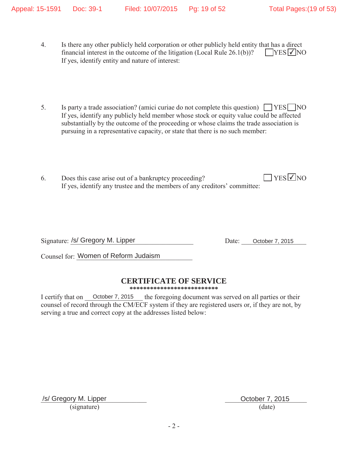- 4. Is there any other publicly held corporation or other publicly held entity that has a direct financial interest in the outcome of the litigation (Local Rule  $26.1(b)$ )? If yes, identify entity and nature of interest:  $YES$   $\overline{V}$  NO
- 5. Is party a trade association? (amici curiae do not complete this question)  $\Box$  YES  $\Box$  NO If yes, identify any publicly held member whose stock or equity value could be affected substantially by the outcome of the proceeding or whose claims the trade association is pursuing in a representative capacity, or state that there is no such member:
- 6. Does this case arise out of a bankruptcy proceeding? If yes, identify any trustee and the members of any creditors' committee:  $\sqrt{\text{YES}}$ NO

Signature: /s/ Gregory M. Lipper Date: October 7, 2015

Counsel for: Women of Reform Judaism

## **CERTIFICATE OF SERVICE**

**\*\*\*\*\*\*\*\*\*\*\*\*\*\*\*\*\*\*\*\*\*\*\*\*\*\***

the foregoing document was served on all parties or their counsel of record through the CM/ECF system if they are registered users or, if they are not, by serving a true and correct copy at the addresses listed below: I certify that on October 7, 2015

/s/ Gregory M. Lipper **October 7, 2015**  $(signature)$  (date)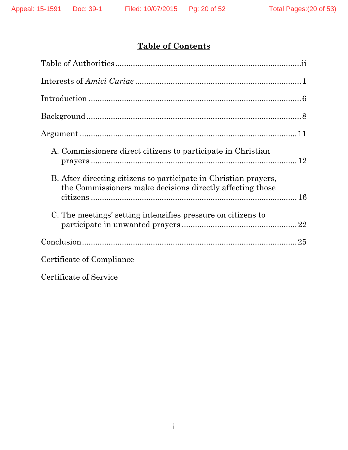# **Table of Contents**

| A. Commissioners direct citizens to participate in Christian                                                                  |
|-------------------------------------------------------------------------------------------------------------------------------|
| B. After directing citizens to participate in Christian prayers,<br>the Commissioners make decisions directly affecting those |
| C. The meetings' setting intensifies pressure on citizens to                                                                  |
|                                                                                                                               |
| Certificate of Compliance                                                                                                     |
| $\theta$ and $\mathbf{f}$ and $\mathbf{f}$ $\theta$ and $\mathbf{f}$                                                          |

Certificate of Service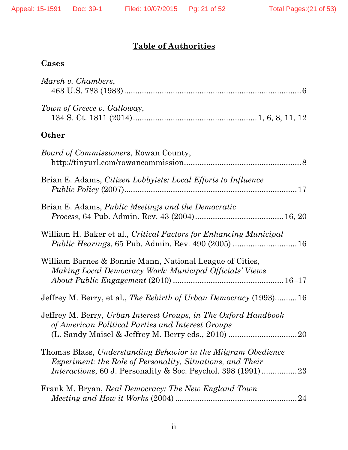# **Table of Authorities**

# **Cases**

| Marsh v. Chambers,                                                                                                                 |
|------------------------------------------------------------------------------------------------------------------------------------|
| Town of Greece v. Galloway,                                                                                                        |
| Other                                                                                                                              |
| Board of Commissioners, Rowan County,                                                                                              |
| Brian E. Adams, <i>Citizen Lobbyists: Local Efforts to Influence</i>                                                               |
| Brian E. Adams, Public Meetings and the Democratic                                                                                 |
| William H. Baker et al., Critical Factors for Enhancing Municipal<br><i>Public Hearings</i> , 65 Pub. Admin. Rev. 490 (2005)  16   |
| William Barnes & Bonnie Mann, National League of Cities,<br>Making Local Democracy Work: Municipal Officials' Views                |
| Jeffrey M. Berry, et al., The Rebirth of Urban Democracy (1993)16                                                                  |
| Jeffrey M. Berry, Urban Interest Groups, in The Oxford Handbook<br>of American Political Parties and Interest Groups               |
| Thomas Blass, Understanding Behavior in the Milgram Obedience<br><i>Experiment: the Role of Personality, Situations, and Their</i> |
| Frank M. Bryan, Real Democracy: The New England Town<br>24                                                                         |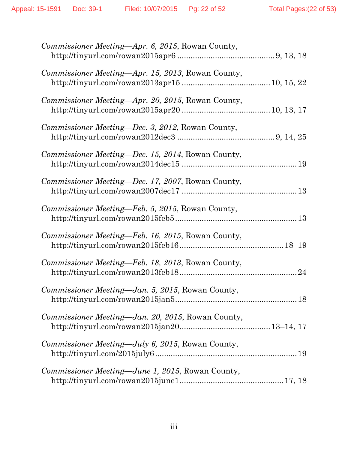| Commissioner Meeting—Apr. 6, 2015, Rowan County,          |
|-----------------------------------------------------------|
| Commissioner Meeting—Apr. 15, 2013, Rowan County,         |
| Commissioner Meeting-Apr. 20, 2015, Rowan County,         |
| Commissioner Meeting—Dec. 3, 2012, Rowan County,          |
| Commissioner Meeting—Dec. 15, 2014, Rowan County,         |
| Commissioner Meeting-Dec. 17, 2007, Rowan County,         |
| Commissioner Meeting—Feb. 5, 2015, Rowan County,          |
| <i>Commissioner Meeting—Feb. 16, 2015, Rowan County,</i>  |
| <i>Commissioner Meeting—Feb. 18, 2013</i> , Rowan County, |
| Commissioner Meeting—Jan. 5, 2015, Rowan County,          |
| Commissioner Meeting—Jan. 20, 2015, Rowan County,         |
| Commissioner Meeting—July 6, 2015, Rowan County,          |
| Commissioner Meeting—June 1, 2015, Rowan County,          |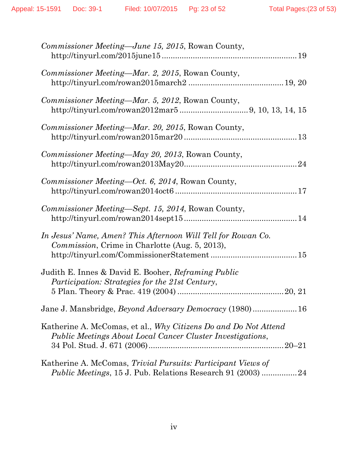| Commissioner Meeting—June 15, 2015, Rowan County,                                                                                   |
|-------------------------------------------------------------------------------------------------------------------------------------|
| <i>Commissioner Meeting—Mar. 2, 2015, Rowan County,</i>                                                                             |
| Commissioner Meeting—Mar. 5, 2012, Rowan County,                                                                                    |
| <i>Commissioner Meeting—Mar. 20, 2015, Rowan County,</i>                                                                            |
| <i>Commissioner Meeting—May 20, 2013, Rowan County,</i>                                                                             |
| <i>Commissioner Meeting—Oct. 6, 2014, Rowan County,</i>                                                                             |
| Commissioner Meeting—Sept. 15, 2014, Rowan County,                                                                                  |
| In Jesus' Name, Amen? This Afternoon Will Tell for Rowan Co.<br><i>Commission</i> , Crime in Charlotte (Aug. 5, 2013),              |
| Judith E. Innes & David E. Booher, Reframing Public<br><i>Participation: Strategies for the 21st Century,</i>                       |
| Jane J. Mansbridge, <i>Beyond Adversary Democracy</i> (1980) 16                                                                     |
| Katherine A. McComas, et al., Why Citizens Do and Do Not Attend<br>Public Meetings About Local Cancer Cluster Investigations,       |
| Katherine A. McComas, Trivial Pursuits: Participant Views of<br><i>Public Meetings</i> , 15 J. Pub. Relations Research 91 (2003) 24 |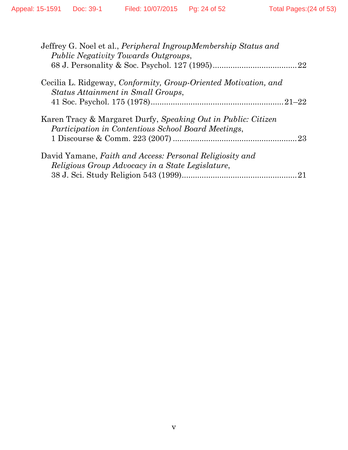| Jeffrey G. Noel et al., <i>Peripheral IngroupMembership Status and</i><br><i>Public Negativity Towards Outgroups,</i> |    |
|-----------------------------------------------------------------------------------------------------------------------|----|
|                                                                                                                       |    |
| Cecilia L. Ridgeway, Conformity, Group-Oriented Motivation, and<br>Status Attainment in Small Groups,                 |    |
|                                                                                                                       |    |
| Karen Tracy & Margaret Durfy, Speaking Out in Public: Citizen<br>Participation in Contentious School Board Meetings,  |    |
|                                                                                                                       | 23 |
| David Yamane, Faith and Access: Personal Religiosity and                                                              |    |
| Religious Group Advocacy in a State Legislature,                                                                      |    |
|                                                                                                                       | 21 |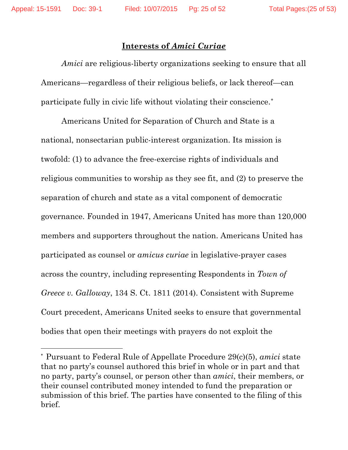$\overline{a}$ 

## **Interests of** *Amici Curiae*

*Amici* are religious-liberty organizations seeking to ensure that all Americans—regardless of their religious beliefs, or lack thereof—can participate fully in civic life without violating their conscience.\*

Americans United for Separation of Church and State is a national, nonsectarian public-interest organization. Its mission is twofold: (1) to advance the free-exercise rights of individuals and religious communities to worship as they see fit, and (2) to preserve the separation of church and state as a vital component of democratic governance. Founded in 1947, Americans United has more than 120,000 members and supporters throughout the nation. Americans United has participated as counsel or *amicus curiae* in legislative-prayer cases across the country, including representing Respondents in *Town of Greece v. Galloway*, 134 S. Ct. 1811 (2014). Consistent with Supreme Court precedent, Americans United seeks to ensure that governmental bodies that open their meetings with prayers do not exploit the

<sup>\*</sup> Pursuant to Federal Rule of Appellate Procedure 29(c)(5), *amici* state that no party's counsel authored this brief in whole or in part and that no party, party's counsel, or person other than *amici*, their members, or their counsel contributed money intended to fund the preparation or submission of this brief. The parties have consented to the filing of this brief.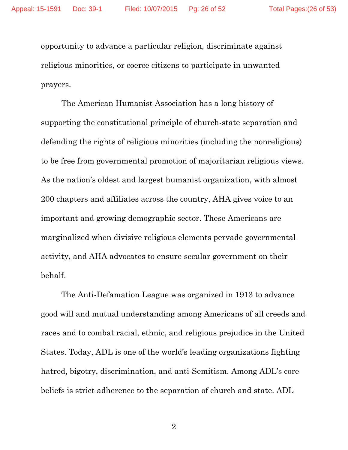opportunity to advance a particular religion, discriminate against religious minorities, or coerce citizens to participate in unwanted prayers.

The American Humanist Association has a long history of supporting the constitutional principle of church-state separation and defending the rights of religious minorities (including the nonreligious) to be free from governmental promotion of majoritarian religious views. As the nation's oldest and largest humanist organization, with almost 200 chapters and affiliates across the country, AHA gives voice to an important and growing demographic sector. These Americans are marginalized when divisive religious elements pervade governmental activity, and AHA advocates to ensure secular government on their behalf.

The Anti-Defamation League was organized in 1913 to advance good will and mutual understanding among Americans of all creeds and races and to combat racial, ethnic, and religious prejudice in the United States. Today, ADL is one of the world's leading organizations fighting hatred, bigotry, discrimination, and anti-Semitism. Among ADL's core beliefs is strict adherence to the separation of church and state. ADL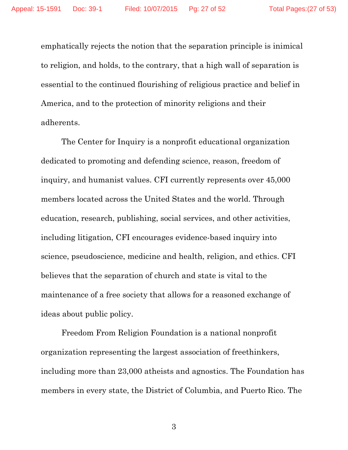emphatically rejects the notion that the separation principle is inimical to religion, and holds, to the contrary, that a high wall of separation is essential to the continued flourishing of religious practice and belief in America, and to the protection of minority religions and their adherents.

The Center for Inquiry is a nonprofit educational organization dedicated to promoting and defending science, reason, freedom of inquiry, and humanist values. CFI currently represents over 45,000 members located across the United States and the world. Through education, research, publishing, social services, and other activities, including litigation, CFI encourages evidence-based inquiry into science, pseudoscience, medicine and health, religion, and ethics. CFI believes that the separation of church and state is vital to the maintenance of a free society that allows for a reasoned exchange of ideas about public policy.

Freedom From Religion Foundation is a national nonprofit organization representing the largest association of freethinkers, including more than 23,000 atheists and agnostics. The Foundation has members in every state, the District of Columbia, and Puerto Rico. The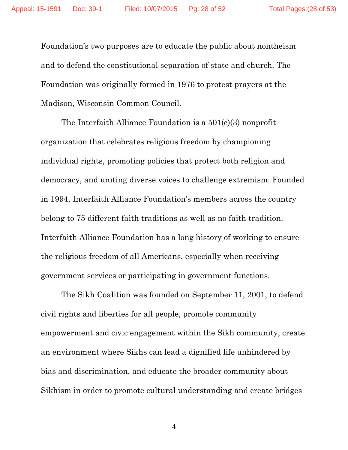Foundation's two purposes are to educate the public about nontheism and to defend the constitutional separation of state and church. The Foundation was originally formed in 1976 to protest prayers at the Madison, Wisconsin Common Council.

The Interfaith Alliance Foundation is a 501(c)(3) nonprofit organization that celebrates religious freedom by championing individual rights, promoting policies that protect both religion and democracy, and uniting diverse voices to challenge extremism. Founded in 1994, Interfaith Alliance Foundation's members across the country belong to 75 different faith traditions as well as no faith tradition. Interfaith Alliance Foundation has a long history of working to ensure the religious freedom of all Americans, especially when receiving government services or participating in government functions.

The Sikh Coalition was founded on September 11, 2001, to defend civil rights and liberties for all people, promote community empowerment and civic engagement within the Sikh community, create an environment where Sikhs can lead a dignified life unhindered by bias and discrimination, and educate the broader community about Sikhism in order to promote cultural understanding and create bridges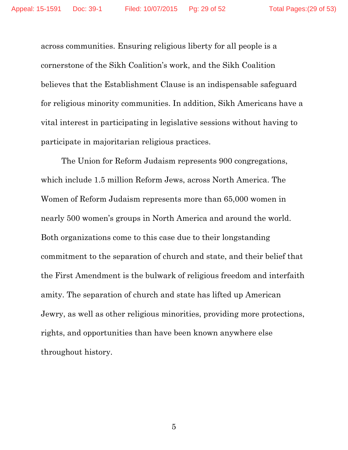across communities. Ensuring religious liberty for all people is a cornerstone of the Sikh Coalition's work, and the Sikh Coalition believes that the Establishment Clause is an indispensable safeguard for religious minority communities. In addition, Sikh Americans have a vital interest in participating in legislative sessions without having to participate in majoritarian religious practices.

The Union for Reform Judaism represents 900 congregations, which include 1.5 million Reform Jews, across North America. The Women of Reform Judaism represents more than 65,000 women in nearly 500 women's groups in North America and around the world. Both organizations come to this case due to their longstanding commitment to the separation of church and state, and their belief that the First Amendment is the bulwark of religious freedom and interfaith amity. The separation of church and state has lifted up American Jewry, as well as other religious minorities, providing more protections, rights, and opportunities than have been known anywhere else throughout history.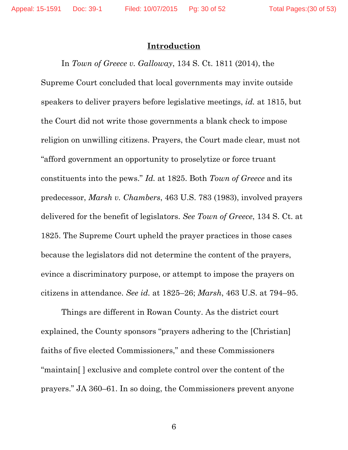### **Introduction**

In *Town of Greece v. Galloway*, 134 S. Ct. 1811 (2014), the Supreme Court concluded that local governments may invite outside speakers to deliver prayers before legislative meetings, *id.* at 1815, but the Court did not write those governments a blank check to impose religion on unwilling citizens. Prayers, the Court made clear, must not "afford government an opportunity to proselytize or force truant constituents into the pews." *Id.* at 1825. Both *Town of Greece* and its predecessor, *Marsh v. Chambers*, 463 U.S. 783 (1983), involved prayers delivered for the benefit of legislators. *See Town of Greece*, 134 S. Ct. at 1825. The Supreme Court upheld the prayer practices in those cases because the legislators did not determine the content of the prayers, evince a discriminatory purpose, or attempt to impose the prayers on citizens in attendance. *See id.* at 1825–26; *Marsh*, 463 U.S. at 794–95.

Things are different in Rowan County. As the district court explained, the County sponsors "prayers adhering to the [Christian] faiths of five elected Commissioners," and these Commissioners "maintain[ ] exclusive and complete control over the content of the prayers." JA 360–61. In so doing, the Commissioners prevent anyone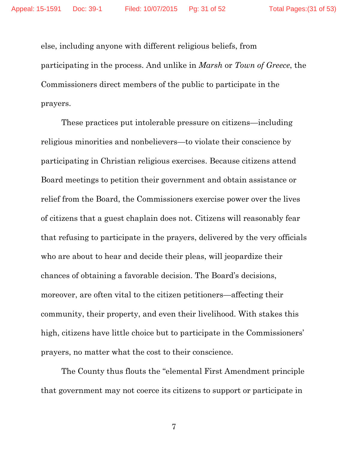else, including anyone with different religious beliefs, from participating in the process. And unlike in *Marsh* or *Town of Greece*, the Commissioners direct members of the public to participate in the prayers.

These practices put intolerable pressure on citizens—including religious minorities and nonbelievers—to violate their conscience by participating in Christian religious exercises. Because citizens attend Board meetings to petition their government and obtain assistance or relief from the Board, the Commissioners exercise power over the lives of citizens that a guest chaplain does not. Citizens will reasonably fear that refusing to participate in the prayers, delivered by the very officials who are about to hear and decide their pleas, will jeopardize their chances of obtaining a favorable decision. The Board's decisions, moreover, are often vital to the citizen petitioners—affecting their community, their property, and even their livelihood. With stakes this high, citizens have little choice but to participate in the Commissioners' prayers, no matter what the cost to their conscience.

The County thus flouts the "elemental First Amendment principle that government may not coerce its citizens to support or participate in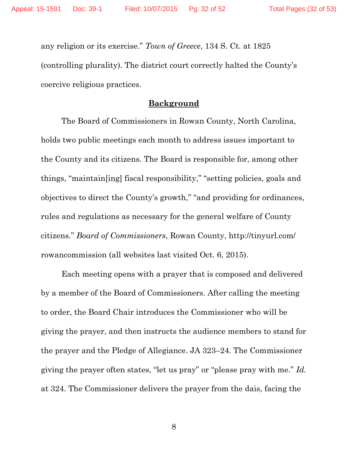any religion or its exercise." *Town of Greece*, 134 S. Ct. at 1825 (controlling plurality). The district court correctly halted the County's coercive religious practices.

### **Background**

The Board of Commissioners in Rowan County, North Carolina, holds two public meetings each month to address issues important to the County and its citizens. The Board is responsible for, among other things, "maintain[ing] fiscal responsibility," "setting policies, goals and objectives to direct the County's growth," "and providing for ordinances, rules and regulations as necessary for the general welfare of County citizens." *Board of Commissioners*, Rowan County, http://tinyurl.com/ rowancommission (all websites last visited Oct. 6, 2015).

Each meeting opens with a prayer that is composed and delivered by a member of the Board of Commissioners. After calling the meeting to order, the Board Chair introduces the Commissioner who will be giving the prayer, and then instructs the audience members to stand for the prayer and the Pledge of Allegiance. JA 323–24. The Commissioner giving the prayer often states, "let us pray" or "please pray with me." *Id.*  at 324. The Commissioner delivers the prayer from the dais, facing the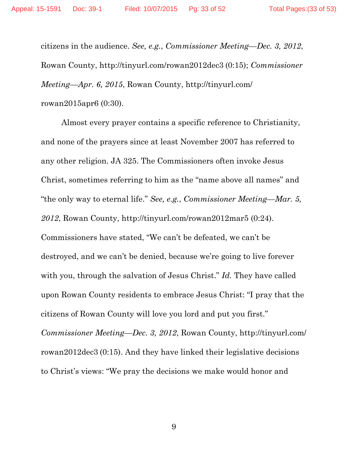citizens in the audience. *See, e.g.*, *Commissioner Meeting—Dec. 3, 2012*, Rowan County, http://tinyurl.com/rowan2012dec3 (0:15); *Commissioner Meeting—Apr. 6, 2015*, Rowan County, http://tinyurl.com/ rowan2015apr6 (0:30).

Almost every prayer contains a specific reference to Christianity, and none of the prayers since at least November 2007 has referred to any other religion. JA 325. The Commissioners often invoke Jesus Christ, sometimes referring to him as the "name above all names" and "the only way to eternal life." *See, e.g.*, *Commissioner Meeting—Mar. 5, 2012*, Rowan County, http://tinyurl.com/rowan2012mar5 (0:24). Commissioners have stated, "We can't be defeated, we can't be destroyed, and we can't be denied, because we're going to live forever with you, through the salvation of Jesus Christ." *Id.* They have called upon Rowan County residents to embrace Jesus Christ: "I pray that the citizens of Rowan County will love you lord and put you first." *Commissioner Meeting—Dec. 3, 2012*, Rowan County, http://tinyurl.com/

to Christ's views: "We pray the decisions we make would honor and

rowan2012dec3 (0:15). And they have linked their legislative decisions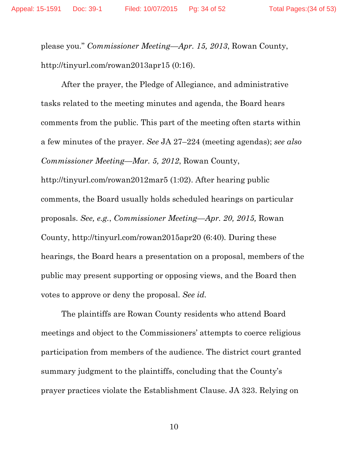please you." *Commissioner Meeting—Apr. 15, 2013*, Rowan County, http://tinyurl.com/rowan2013apr15 (0:16).

After the prayer, the Pledge of Allegiance, and administrative tasks related to the meeting minutes and agenda, the Board hears comments from the public. This part of the meeting often starts within a few minutes of the prayer. *See* JA 27–224 (meeting agendas); *see also Commissioner Meeting—Mar. 5, 2012*, Rowan County,

http://tinyurl.com/rowan2012mar5 (1:02). After hearing public comments, the Board usually holds scheduled hearings on particular proposals. *See, e.g.*, *Commissioner Meeting—Apr. 20, 2015,* Rowan County, http://tinyurl.com/rowan2015apr20 (6:40)*.* During these hearings, the Board hears a presentation on a proposal, members of the public may present supporting or opposing views, and the Board then votes to approve or deny the proposal. *See id.*

The plaintiffs are Rowan County residents who attend Board meetings and object to the Commissioners' attempts to coerce religious participation from members of the audience. The district court granted summary judgment to the plaintiffs, concluding that the County's prayer practices violate the Establishment Clause. JA 323. Relying on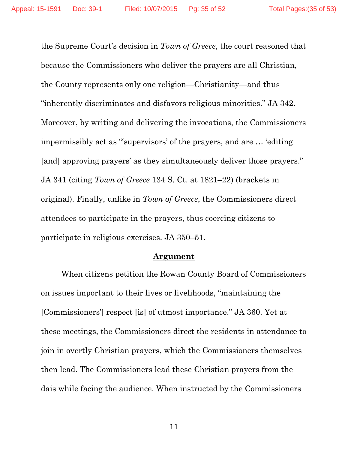the Supreme Court's decision in *Town of Greece*, the court reasoned that because the Commissioners who deliver the prayers are all Christian, the County represents only one religion—Christianity—and thus "inherently discriminates and disfavors religious minorities." JA 342. Moreover, by writing and delivering the invocations, the Commissioners impermissibly act as "'supervisors' of the prayers, and are … 'editing [and] approving prayers' as they simultaneously deliver those prayers." JA 341 (citing *Town of Greece* 134 S. Ct. at 1821–22) (brackets in original). Finally, unlike in *Town of Greece*, the Commissioners direct attendees to participate in the prayers, thus coercing citizens to participate in religious exercises. JA 350–51.

#### **Argument**

When citizens petition the Rowan County Board of Commissioners on issues important to their lives or livelihoods, "maintaining the [Commissioners'] respect [is] of utmost importance." JA 360. Yet at these meetings, the Commissioners direct the residents in attendance to join in overtly Christian prayers, which the Commissioners themselves then lead. The Commissioners lead these Christian prayers from the dais while facing the audience. When instructed by the Commissioners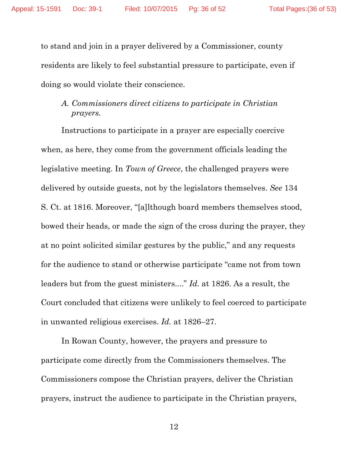to stand and join in a prayer delivered by a Commissioner, county residents are likely to feel substantial pressure to participate, even if doing so would violate their conscience.

# *A. Commissioners direct citizens to participate in Christian prayers.*

Instructions to participate in a prayer are especially coercive when, as here, they come from the government officials leading the legislative meeting. In *Town of Greece*, the challenged prayers were delivered by outside guests, not by the legislators themselves. *See* 134 S. Ct. at 1816. Moreover, "[a]lthough board members themselves stood, bowed their heads, or made the sign of the cross during the prayer, they at no point solicited similar gestures by the public," and any requests for the audience to stand or otherwise participate "came not from town leaders but from the guest ministers...." *Id.* at 1826. As a result, the Court concluded that citizens were unlikely to feel coerced to participate in unwanted religious exercises. *Id.* at 1826–27.

In Rowan County, however, the prayers and pressure to participate come directly from the Commissioners themselves. The Commissioners compose the Christian prayers, deliver the Christian prayers, instruct the audience to participate in the Christian prayers,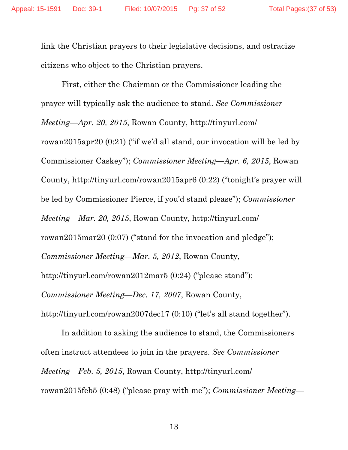link the Christian prayers to their legislative decisions, and ostracize citizens who object to the Christian prayers.

First, either the Chairman or the Commissioner leading the prayer will typically ask the audience to stand. *See Commissioner Meeting—Apr. 20, 2015*, Rowan County, http://tinyurl.com/ rowan2015apr20 (0:21) ("if we'd all stand, our invocation will be led by Commissioner Caskey"); *Commissioner Meeting—Apr. 6, 2015*, Rowan County, http://tinyurl.com/rowan2015apr6 (0:22) ("tonight's prayer will be led by Commissioner Pierce, if you'd stand please"); *Commissioner Meeting—Mar. 20, 2015*, Rowan County, http://tinyurl.com/ rowan2015mar20 (0:07) ("stand for the invocation and pledge"); *Commissioner Meeting—Mar. 5, 2012*, Rowan County, http://tinyurl.com/rowan2012mar5 (0:24) ("please stand"); *Commissioner Meeting—Dec. 17, 2007*, Rowan County, http://tinyurl.com/rowan2007dec17 (0:10) ("let's all stand together").

In addition to asking the audience to stand, the Commissioners often instruct attendees to join in the prayers. *See Commissioner Meeting—Feb. 5, 2015*, Rowan County, http://tinyurl.com/ rowan2015feb5 (0:48) ("please pray with me"); *Commissioner Meeting—*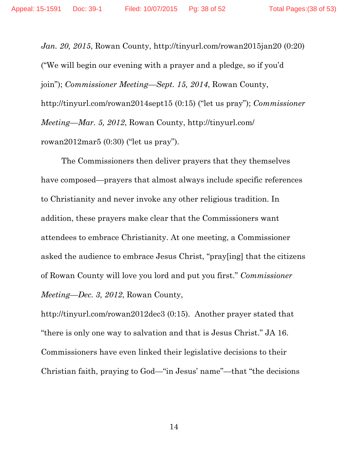*Jan. 20, 2015*, Rowan County, http://tinyurl.com/rowan2015jan20 (0:20) ("We will begin our evening with a prayer and a pledge, so if you'd join"); *Commissioner Meeting—Sept. 15, 2014*, Rowan County, http://tinyurl.com/rowan2014sept15 (0:15) ("let us pray"); *Commissioner Meeting—Mar. 5, 2012*, Rowan County, http://tinyurl.com/ rowan2012mar5 (0:30) ("let us pray").

The Commissioners then deliver prayers that they themselves have composed—prayers that almost always include specific references to Christianity and never invoke any other religious tradition. In addition, these prayers make clear that the Commissioners want attendees to embrace Christianity. At one meeting, a Commissioner asked the audience to embrace Jesus Christ, "pray[ing] that the citizens of Rowan County will love you lord and put you first." *Commissioner Meeting—Dec. 3, 2012*, Rowan County,

http://tinyurl.com/rowan2012dec3 (0:15). Another prayer stated that "there is only one way to salvation and that is Jesus Christ." JA 16. Commissioners have even linked their legislative decisions to their Christian faith, praying to God—"in Jesus' name"—that "the decisions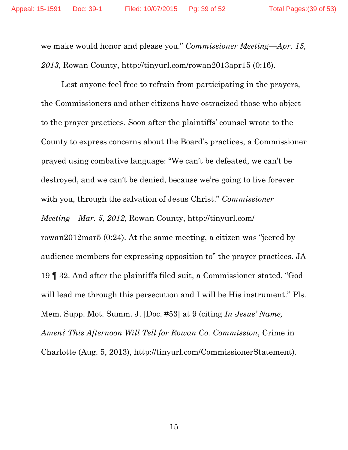we make would honor and please you." *Commissioner Meeting—Apr. 15, 2013*, Rowan County, http://tinyurl.com/rowan2013apr15 (0:16).

Lest anyone feel free to refrain from participating in the prayers, the Commissioners and other citizens have ostracized those who object to the prayer practices. Soon after the plaintiffs' counsel wrote to the County to express concerns about the Board's practices, a Commissioner prayed using combative language: "We can't be defeated, we can't be destroyed, and we can't be denied, because we're going to live forever with you, through the salvation of Jesus Christ." *Commissioner Meeting—Mar. 5, 2012*, Rowan County, http://tinyurl.com/ rowan2012mar5 (0:24). At the same meeting, a citizen was "jeered by audience members for expressing opposition to" the prayer practices. JA 19 ¶ 32. And after the plaintiffs filed suit, a Commissioner stated, "God will lead me through this persecution and I will be His instrument." Pls. Mem. Supp. Mot. Summ. J. [Doc. #53] at 9 (citing *In Jesus' Name, Amen? This Afternoon Will Tell for Rowan Co. Commission*, Crime in Charlotte (Aug. 5, 2013), http://tinyurl.com/CommissionerStatement).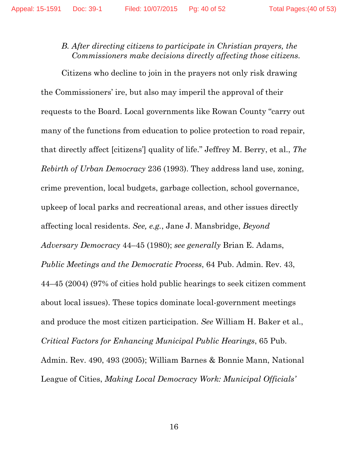# *B. After directing citizens to participate in Christian prayers, the Commissioners make decisions directly affecting those citizens.*

Citizens who decline to join in the prayers not only risk drawing the Commissioners' ire, but also may imperil the approval of their requests to the Board. Local governments like Rowan County "carry out many of the functions from education to police protection to road repair, that directly affect [citizens'] quality of life." Jeffrey M. Berry, et al., *The Rebirth of Urban Democracy* 236 (1993). They address land use, zoning, crime prevention, local budgets, garbage collection, school governance, upkeep of local parks and recreational areas, and other issues directly affecting local residents. *See, e.g.*, Jane J. Mansbridge, *Beyond Adversary Democracy* 44–45 (1980); *see generally* Brian E. Adams, *Public Meetings and the Democratic Process*, 64 Pub. Admin. Rev. 43, 44–45 (2004) (97% of cities hold public hearings to seek citizen comment about local issues). These topics dominate local-government meetings and produce the most citizen participation. *See* William H. Baker et al., *Critical Factors for Enhancing Municipal Public Hearings*, 65 Pub. Admin. Rev. 490, 493 (2005); William Barnes & Bonnie Mann, National League of Cities, *Making Local Democracy Work: Municipal Officials'*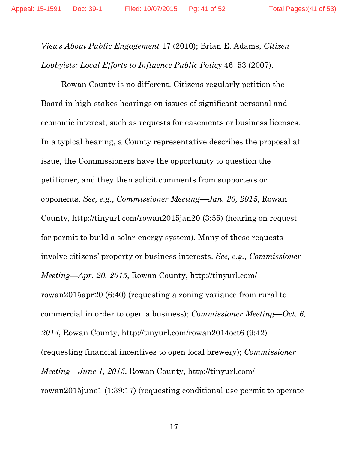*Views About Public Engagement* 17 (2010); Brian E. Adams, *Citizen Lobbyists: Local Efforts to Influence Public Policy* 46–53 (2007).

Rowan County is no different. Citizens regularly petition the Board in high-stakes hearings on issues of significant personal and economic interest, such as requests for easements or business licenses. In a typical hearing, a County representative describes the proposal at issue, the Commissioners have the opportunity to question the petitioner, and they then solicit comments from supporters or opponents. *See, e.g.*, *Commissioner Meeting—Jan. 20, 2015*, Rowan County, http://tinyurl.com/rowan2015jan20 (3:55) (hearing on request for permit to build a solar-energy system). Many of these requests involve citizens' property or business interests. *See, e.g.*, *Commissioner Meeting—Apr. 20, 2015*, Rowan County, http://tinyurl.com/ rowan2015apr20 (6:40) (requesting a zoning variance from rural to commercial in order to open a business); *Commissioner Meeting—Oct. 6, 2014*, Rowan County, http://tinyurl.com/rowan2014oct6 (9:42) (requesting financial incentives to open local brewery); *Commissioner Meeting—June 1, 2015*, Rowan County, http://tinyurl.com/ rowan2015june1 (1:39:17) (requesting conditional use permit to operate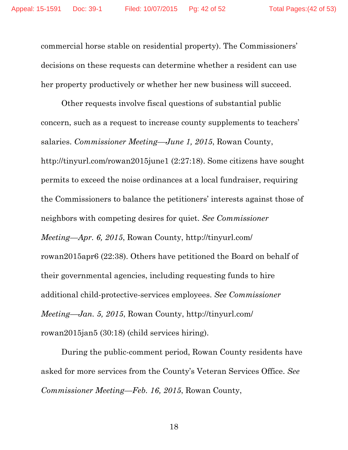commercial horse stable on residential property). The Commissioners' decisions on these requests can determine whether a resident can use her property productively or whether her new business will succeed.

Other requests involve fiscal questions of substantial public concern, such as a request to increase county supplements to teachers' salaries. *Commissioner Meeting—June 1, 2015*, Rowan County, http://tinyurl.com/rowan2015june1 (2:27:18). Some citizens have sought permits to exceed the noise ordinances at a local fundraiser, requiring the Commissioners to balance the petitioners' interests against those of neighbors with competing desires for quiet. *See Commissioner Meeting—Apr. 6, 2015*, Rowan County, http://tinyurl.com/ rowan2015apr6 (22:38). Others have petitioned the Board on behalf of their governmental agencies, including requesting funds to hire additional child-protective-services employees. *See Commissioner Meeting—Jan. 5, 2015*, Rowan County, http://tinyurl.com/ rowan2015jan5 (30:18) (child services hiring).

During the public-comment period, Rowan County residents have asked for more services from the County's Veteran Services Office. *See Commissioner Meeting—Feb. 16, 2015*, Rowan County,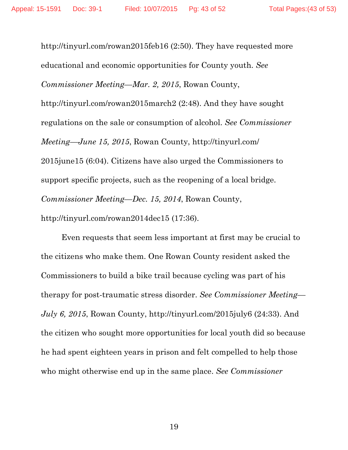http://tinyurl.com/rowan2015feb16 (2:50). They have requested more educational and economic opportunities for County youth. *See Commissioner Meeting—Mar. 2, 2015*, Rowan County, http://tinyurl.com/rowan2015march2 (2:48). And they have sought regulations on the sale or consumption of alcohol. *See Commissioner Meeting—June 15, 2015*, Rowan County, http://tinyurl.com/ 2015june15 (6:04). Citizens have also urged the Commissioners to support specific projects, such as the reopening of a local bridge. *Commissioner Meeting—Dec. 15, 2014*, Rowan County, http://tinyurl.com/rowan2014dec15 (17:36).

Even requests that seem less important at first may be crucial to the citizens who make them. One Rowan County resident asked the Commissioners to build a bike trail because cycling was part of his therapy for post-traumatic stress disorder. *See Commissioner Meeting— July 6, 2015*, Rowan County, http://tinyurl.com/2015july6 (24:33). And the citizen who sought more opportunities for local youth did so because he had spent eighteen years in prison and felt compelled to help those who might otherwise end up in the same place. *See Commissioner*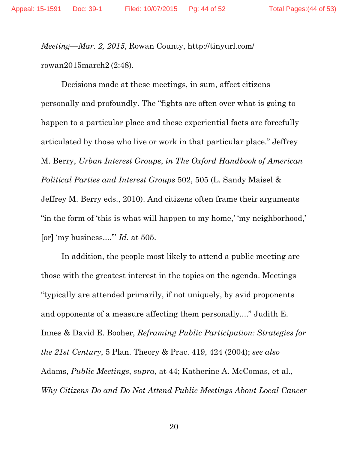*Meeting—Mar. 2, 2015*, Rowan County, http://tinyurl.com/ rowan2015march2 (2:48).

Decisions made at these meetings, in sum, affect citizens personally and profoundly. The "fights are often over what is going to happen to a particular place and these experiential facts are forcefully articulated by those who live or work in that particular place." Jeffrey M. Berry, *Urban Interest Groups*, *in The Oxford Handbook of American Political Parties and Interest Groups* 502, 505 (L. Sandy Maisel & Jeffrey M. Berry eds., 2010). And citizens often frame their arguments "in the form of 'this is what will happen to my home,' 'my neighborhood,' [or] 'my business....'" *Id.* at 505.

In addition, the people most likely to attend a public meeting are those with the greatest interest in the topics on the agenda. Meetings "typically are attended primarily, if not uniquely, by avid proponents and opponents of a measure affecting them personally...." Judith E. Innes & David E. Booher, *Reframing Public Participation: Strategies for the 21st Century*, 5 Plan. Theory & Prac. 419, 424 (2004); *see also* Adams, *Public Meetings*, *supra*, at 44; Katherine A. McComas, et al., *Why Citizens Do and Do Not Attend Public Meetings About Local Cancer*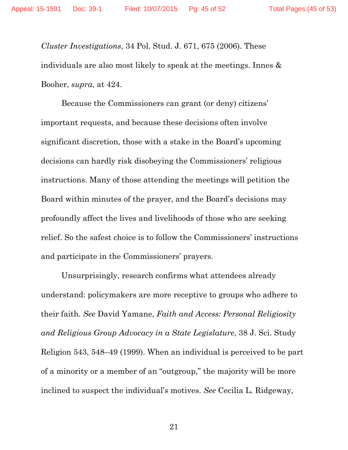*Cluster Investigations*, 34 Pol. Stud. J. 671, 675 (2006). These individuals are also most likely to speak at the meetings. Innes & Booher, *supra*, at 424.

Because the Commissioners can grant (or deny) citizens' important requests, and because these decisions often involve significant discretion, those with a stake in the Board's upcoming decisions can hardly risk disobeying the Commissioners' religious instructions. Many of those attending the meetings will petition the Board within minutes of the prayer, and the Board's decisions may profoundly affect the lives and livelihoods of those who are seeking relief. So the safest choice is to follow the Commissioners' instructions and participate in the Commissioners' prayers.

Unsurprisingly, research confirms what attendees already understand: policymakers are more receptive to groups who adhere to their faith. *See* David Yamane, *Faith and Access: Personal Religiosity and Religious Group Advocacy in a State Legislature*, 38 J. Sci. Study Religion 543, 548–49 (1999). When an individual is perceived to be part of a minority or a member of an "outgroup," the majority will be more inclined to suspect the individual's motives. *See* Cecilia L. Ridgeway,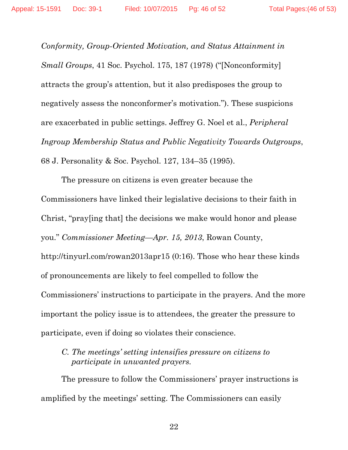*Conformity, Group-Oriented Motivation, and Status Attainment in Small Groups*, 41 Soc. Psychol. 175, 187 (1978) ("[Nonconformity] attracts the group's attention, but it also predisposes the group to negatively assess the nonconformer's motivation."). These suspicions are exacerbated in public settings. Jeffrey G. Noel et al., *Peripheral Ingroup Membership Status and Public Negativity Towards Outgroups*, 68 J. Personality & Soc. Psychol. 127, 134–35 (1995).

The pressure on citizens is even greater because the Commissioners have linked their legislative decisions to their faith in Christ, "pray[ing that] the decisions we make would honor and please you." *Commissioner Meeting—Apr. 15, 2013*, Rowan County, http://tinyurl.com/rowan2013apr15 (0:16). Those who hear these kinds of pronouncements are likely to feel compelled to follow the Commissioners' instructions to participate in the prayers. And the more important the policy issue is to attendees, the greater the pressure to participate, even if doing so violates their conscience.

## *C. The meetings' setting intensifies pressure on citizens to participate in unwanted prayers.*

The pressure to follow the Commissioners' prayer instructions is amplified by the meetings' setting. The Commissioners can easily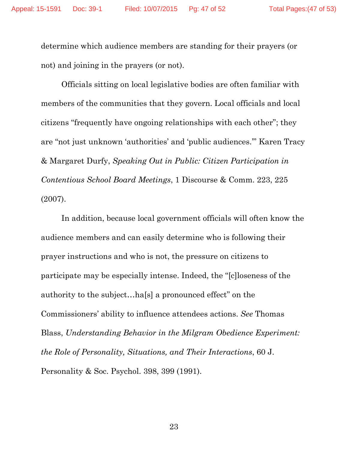determine which audience members are standing for their prayers (or not) and joining in the prayers (or not).

Officials sitting on local legislative bodies are often familiar with members of the communities that they govern. Local officials and local citizens "frequently have ongoing relationships with each other"; they are "not just unknown 'authorities' and 'public audiences.'" Karen Tracy & Margaret Durfy, *Speaking Out in Public: Citizen Participation in Contentious School Board Meetings*, 1 Discourse & Comm. 223, 225 (2007).

In addition, because local government officials will often know the audience members and can easily determine who is following their prayer instructions and who is not, the pressure on citizens to participate may be especially intense. Indeed, the "[c]loseness of the authority to the subject…ha[s] a pronounced effect" on the Commissioners' ability to influence attendees actions. *See* Thomas Blass, *Understanding Behavior in the Milgram Obedience Experiment: the Role of Personality, Situations, and Their Interactions*, 60 J. Personality & Soc. Psychol. 398, 399 (1991).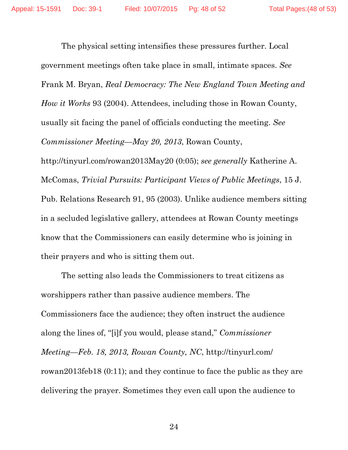The physical setting intensifies these pressures further. Local government meetings often take place in small, intimate spaces. *See* Frank M. Bryan, *Real Democracy: The New England Town Meeting and How it Works* 93 (2004). Attendees, including those in Rowan County, usually sit facing the panel of officials conducting the meeting. *See Commissioner Meeting—May 20, 2013*, Rowan County, http://tinyurl.com/rowan2013May20 (0:05); *see generally* Katherine A. McComas, *Trivial Pursuits: Participant Views of Public Meetings*, 15 J. Pub. Relations Research 91, 95 (2003). Unlike audience members sitting in a secluded legislative gallery, attendees at Rowan County meetings know that the Commissioners can easily determine who is joining in their prayers and who is sitting them out.

The setting also leads the Commissioners to treat citizens as worshippers rather than passive audience members. The Commissioners face the audience; they often instruct the audience along the lines of, "[i]f you would, please stand," *Commissioner Meeting—Feb. 18, 2013, Rowan County, NC*, http://tinyurl.com/ rowan2013feb18 (0:11); and they continue to face the public as they are delivering the prayer. Sometimes they even call upon the audience to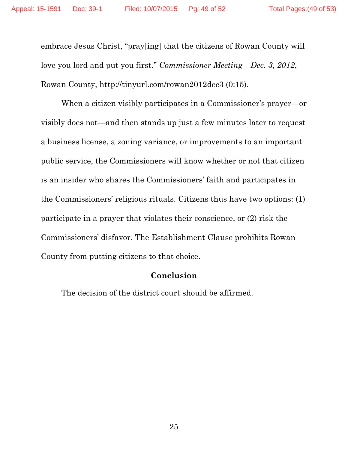embrace Jesus Christ, "pray[ing] that the citizens of Rowan County will love you lord and put you first." *Commissioner Meeting—Dec. 3, 2012*, Rowan County, http://tinyurl.com/rowan2012dec3 (0:15).

When a citizen visibly participates in a Commissioner's prayer—or visibly does not—and then stands up just a few minutes later to request a business license, a zoning variance, or improvements to an important public service, the Commissioners will know whether or not that citizen is an insider who shares the Commissioners' faith and participates in the Commissioners' religious rituals. Citizens thus have two options: (1) participate in a prayer that violates their conscience, or (2) risk the Commissioners' disfavor. The Establishment Clause prohibits Rowan County from putting citizens to that choice.

### **Conclusion**

The decision of the district court should be affirmed.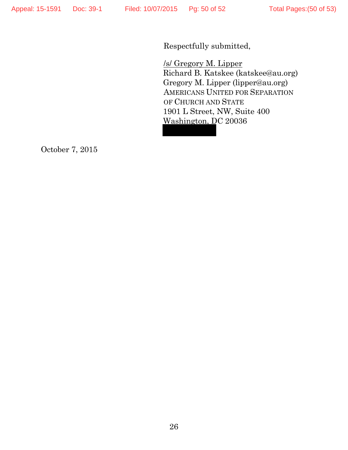Respectfully submitted,

/s/ Gregory M. Lipper Richard B. Katskee (katskee@au.org) Gregory M. Lipper (lipper@au.org) AMERICANS UNITED FOR SEPARATION OF CHURCH AND STATE 1901 L Street, NW, Suite 400 Washington, DC 20036

October 7, 2015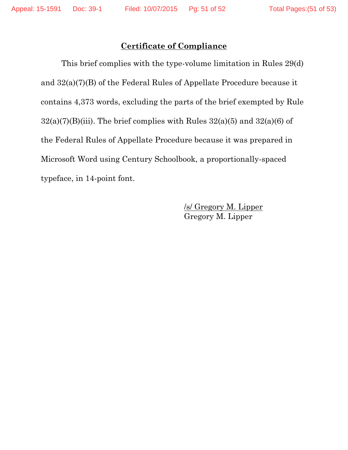## **Certificate of Compliance**

This brief complies with the type-volume limitation in Rules 29(d) and 32(a)(7)(B) of the Federal Rules of Appellate Procedure because it contains 4,373 words, excluding the parts of the brief exempted by Rule  $32(a)(7)(B)(iii)$ . The brief complies with Rules  $32(a)(5)$  and  $32(a)(6)$  of the Federal Rules of Appellate Procedure because it was prepared in Microsoft Word using Century Schoolbook, a proportionally-spaced typeface, in 14-point font.

> /s/ Gregory M. Lipper Gregory M. Lipper